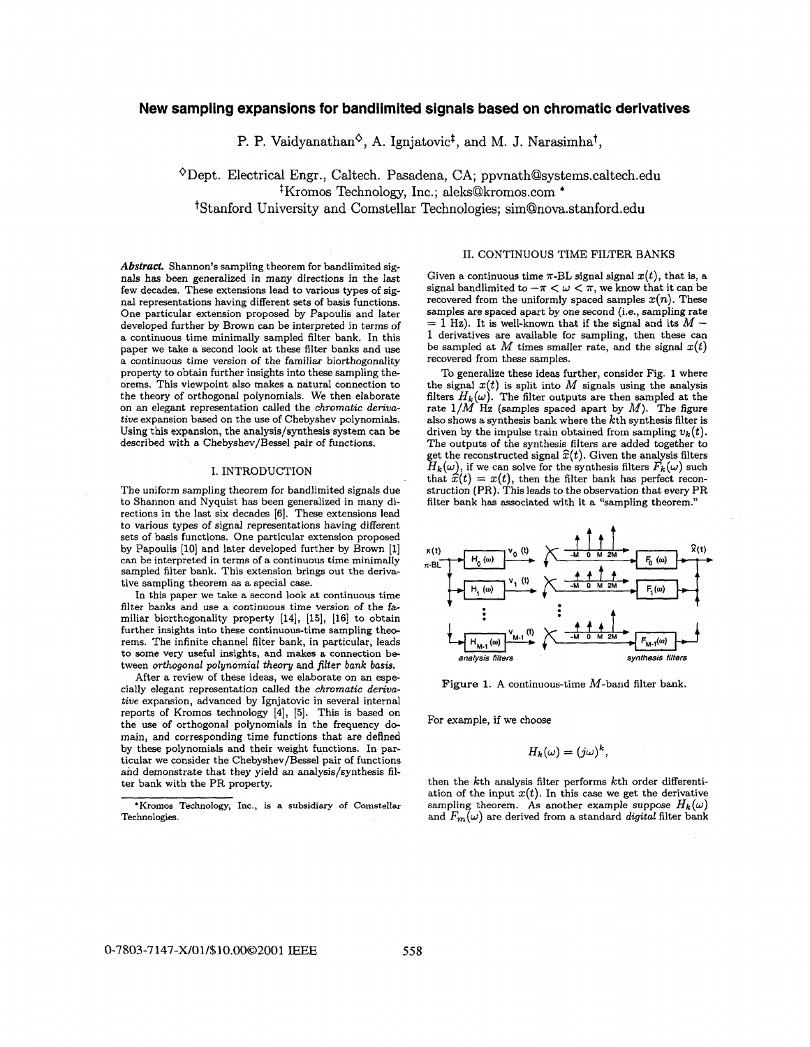# <span id="page-0-0"></span>**New sampling expansions for bandlimited signals based on chromatic derivatives**

P. P. Vaidyanathan<sup> $\diamond$ </sup>, A. Igniatovic<sup>†</sup>, and M. J. Narasimha<sup>†</sup>,

<sup> $\diamond$ </sup>Dept. Electrical Engr., Caltech. Pasadena, CA; ppvnath@systems.caltech.edu  $K$ romos Technology, Inc.; [aleks@kromos.com](mailto:aleks@kromos.com) \* <sup>†</sup>Stanford University and Comstellar Technologies; sim@nova.stanford.edu

*Abstract.* Shannon's sampling theorem for bandlimited signals has been generalized in many directions in the last few decades. These extensions lead to various types of signal representations having different sets of basis functions. One particular extension proposed by Papoulis and later developed further by Brown can be interpreted in terms of a continuous time minimally sampled filter bank. In this paper we take a second look at these filter banks and use a continuous time version of the familiar biorthogonality property to obtain further insights into these sampling theorems. This viewpoint also makes a natural connection to the theory of orthogonal polynomials. We then elaborate on **an** elegant representation called the *chromatic derivative* expansion based on the use of Chebyshev polynomials. Using this expansion, the analysis/synthesis system can be described with a Chebyshev/Bessel pair of functions.

### I. INTRODUCTION

The uniform sampling theorem for bandlimited signals due to Shannon and Nyquist has been generalized in many directions in the last **six** decades **[6].** These extensions lead to various types of signal representations having different sets of basis functions. One particular extension proposed by Papoulis [10] and later developed further by Brown [1] can be interpreted in terms of a continuous time minimally sampled filter bank. This extension brings out the derivative sampling theorem **as** a special case.

In this paper we take a second look at continuous time filter banks and use a continuous time version of the familiar biorthogonality property **(141, [15], [16]** to obtain further insights into these continuous-time sampling theorems. The infinite channel filter bank, in particular, leads to some very useful insights, and makes a connection between *orthogonal polynomial theory* and *filter bank basis.* 

After a review of these ideas, we elaborate on an especially elegant representation called the *chromatic derivative* expansion, advanced by Ignjatovic in several internal reports of Kromos technology **[4],** *[5].* This is based on the use of orthogonal polynomials in the frequency domain, and corresponding time functions that are defined by these polynomials and their weight functions. In particular we consider the Chebyshev/Bessel pair of functions and demonstrate that they yield an analysis/synthesis filter bank with the PR property.

## 11. CONTINUOUS TIME FILTER BANKS

Given a continuous time  $\pi$ -BL signal signal  $x(t)$ , that is, a signal bandlimited to  $-\pi < \omega < \pi$ , we know that it can be recovered from the uniformly spaced samples  $x(n)$ . These samples are spaced apart by one second (i.e., sampling rate = 1 Hz). It is well-known that if the signal and its  $M -$ 1 derivatives are available for sampling, then these can be sampled at  $M$  times smaller rate, and the signal  $x(t)$ recovered from these samples.

To generalize these ideas further, consider Fig. **1** where the signal  $x(t)$  is split into  $M$  signals using the analysis filters  $H_k(\omega)$ . The filter outputs are then sampled at the rate 1/M **Hz** (samples spaced apart by *M).* The figure also shows a synthesis bank where the kth synthesis filter is driven by the impulse train obtained from sampling  $v_k(t)$ . The outputs of the synthesis filters are added together to get the reconstructed signal  $\hat{x}(t)$ . Given the analysis filters  $H_{\bm{k}}(\omega),$  if we can solve for the synthesis filters  $F_{\bm{k}}(\omega)$  such that  $\hat{x}(t) = x(t)$ , then the filter bank has perfect reconstruction (PR). This leads to the observation that every PR filter bank **has** associated with it a "sampling theorem."



**Figure** 1. A continuous-time M-band filter bank.

For example, if we choose

$$
H_k(\omega)=(j\omega)^k,
$$

then the kth analysis filter performs kth order differentiation of the input  $x(t)$ . In this case we get the derivative sampling theorem. As another example suppose  $H_k(\omega)$ and  $F_m(\omega)$  are derived from a standard *digital* filter bank

<sup>&#</sup>x27;Kromos Technology, Inc., is a subsidiary of **Comstellar**  Technologies.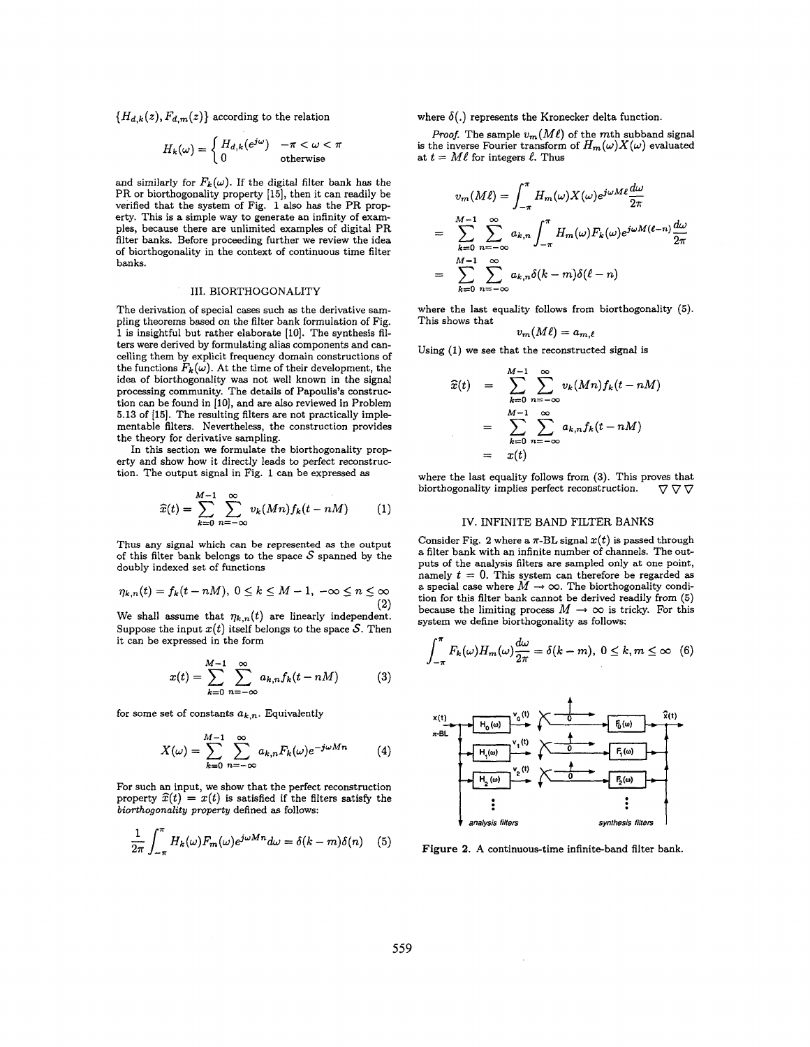<span id="page-1-0"></span> ${H_{d,k}(z), F_{d,m}(z)}$  according to the relation

$$
H_k(\omega) = \begin{cases} H_{d,k}(e^{j\omega}) & -\pi < \omega < \pi \\ 0 & \text{otherwise} \end{cases}
$$

and similarly for  $F_k(\omega)$ . If the digital filter bank has the PR or biorthogonality property [15], then it can readily be verified that the system of [Fig.](#page-0-0) **[1](#page-0-0)** also has the PR property. This is a simple way to generate an infinity of examples, because there are unlimited examples of digital PR filter banks. Before proceeding further we review the idea of biorthogonality in the context of continuous time filter banks.

### 111. BIORTHOGONALITY

The derivation of special cases such **as** the derivative sampling theorems based on the filter bank formulation of [Fig.](#page-0-0)  [1](#page-0-0) is insightful but rather elaborate **[lo].** The synthesis filters were derived by formulating alias components and cancelling them by explicit frequency domain constructions of the functions  $F_k(\omega)$ . At the time of their development, the idea of biorthogonality was not well known in the signal processing community. The details of Papoulis's construction can be found in [lo], and are also reviewed in Problem **5.13** of **[15].** The resulting filters are not practically implementable filters. Nevertheless, the construction provides the theory for derivative sampling.

In this section we formulate the biorthogonality prop erty and show how it directly leads to perfect reconstruction. The output signal in [Fig.](#page-0-0) **1** can be expressed **as** 

$$
\widehat{x}(t) = \sum_{k=0}^{M-1} \sum_{n=-\infty}^{\infty} v_k(Mn) f_k(t - nM) \tag{1}
$$

Thus any signal which can be represented **as** the output of this filter bank belongs to the space  $S$  spanned by the doubly indexed set of functions

$$
\eta_{k,n}(t) = f_k(t - nM), \ 0 \le k \le M - 1, \ -\infty \le n \le \infty
$$

We shall assume that  $\eta_{k,n}(t)$  are linearly independent. Suppose the input  $x(t)$  itself belongs to the space S. Then it can be expressed in the form

$$
x(t) = \sum_{k=0}^{M-1} \sum_{n=-\infty}^{\infty} a_{k,n} f_k(t - nM)
$$
 (3)

for some set of constants  $a_{k,n}$ . Equivalently

$$
X(\omega) = \sum_{k=0}^{M-1} \sum_{n=-\infty}^{\infty} a_{k,n} F_k(\omega) e^{-j\omega Mn}
$$
 (4)

For such an input, we show that the perfect reconstruction property  $\hat{x}(t) = x(t)$  is satisfied if the filters satisfy the *biorthogonality property* defined **as** follows:

$$
\frac{1}{2\pi} \int_{-\pi}^{\pi} H_k(\omega) F_m(\omega) e^{j\omega M n} d\omega = \delta(k - m) \delta(n) \quad (5)
$$

where  $\delta(.)$  represents the Kronecker delta function.

*Proof.* The sample  $v_m(M\ell)$  of the mth subband signal is the inverse Fourier transform of  $H_m(\omega)X(\omega)$  evaluated at  $t = M\ell$  for integers  $\ell$ . Thus

$$
v_m(M\ell) = \int_{-\pi}^{\pi} H_m(\omega) X(\omega) e^{j\omega M \ell} \frac{d\omega}{2\pi}
$$
  
= 
$$
\sum_{k=0}^{M-1} \sum_{n=-\infty}^{\infty} a_{k,n} \int_{-\pi}^{\pi} H_m(\omega) F_k(\omega) e^{j\omega M(\ell-n)} \frac{d\omega}{2\pi}
$$
  
= 
$$
\sum_{k=0}^{M-1} \sum_{n=-\infty}^{\infty} a_{k,n} \delta(k-m) \delta(\ell-n)
$$

where the last equality follows from biorthogonality **(5).**  This shows that

$$
v_m(M\ell)=a_{m,\ell}
$$

Using **(1)** we see that the reconstructed signal is

$$
\widehat{x}(t) = \sum_{k=0}^{M-1} \sum_{n=-\infty}^{\infty} v_k(Mn) f_k(t - nM)
$$

$$
= \sum_{k=0}^{M-1} \sum_{n=-\infty}^{\infty} a_{k,n} f_k(t - nM)
$$

$$
= x(t)
$$

where the last equality follows from (3). This proves that biorthogonality implies perfect reconstruction.  $\nabla \nabla \nabla$ biorthogonality implies perfect reconstruction.

#### IV. INFINITE BAND FILTER BANKS

Consider Fig. 2 where a  $\pi$ -BL signal  $x(t)$  is passed through a filter bank with an infinite number of channels. The **out**puts of the analysis filters are sampled only at one point, namely  $t = 0$ . This system can therefore be regarded as a special case where  $M \rightarrow \infty$ . The biorthogonality condition for this filter bank cannot be derived readily from *(5)*  tion for this filter bank cannot be derived readily from (5) because the limiting process  $M \to \infty$  is tricky. For this system we define biorthogonality as follows:<br> $\int_{-\pi}^{\pi} F_k(\omega) H_m(\omega) \frac{d\omega}{2\pi} = \delta(k - m), 0 \le k, m \le \infty$  (6) system we define biorthogonality **as** follows:

$$
\int_{-\pi}^{\pi} F_k(\omega) H_m(\omega) \frac{d\omega}{2\pi} = \delta(k-m), \ 0 \le k, m \le \infty \quad (6)
$$



**Figure 2.** A continuous-time infinite-band filter bank.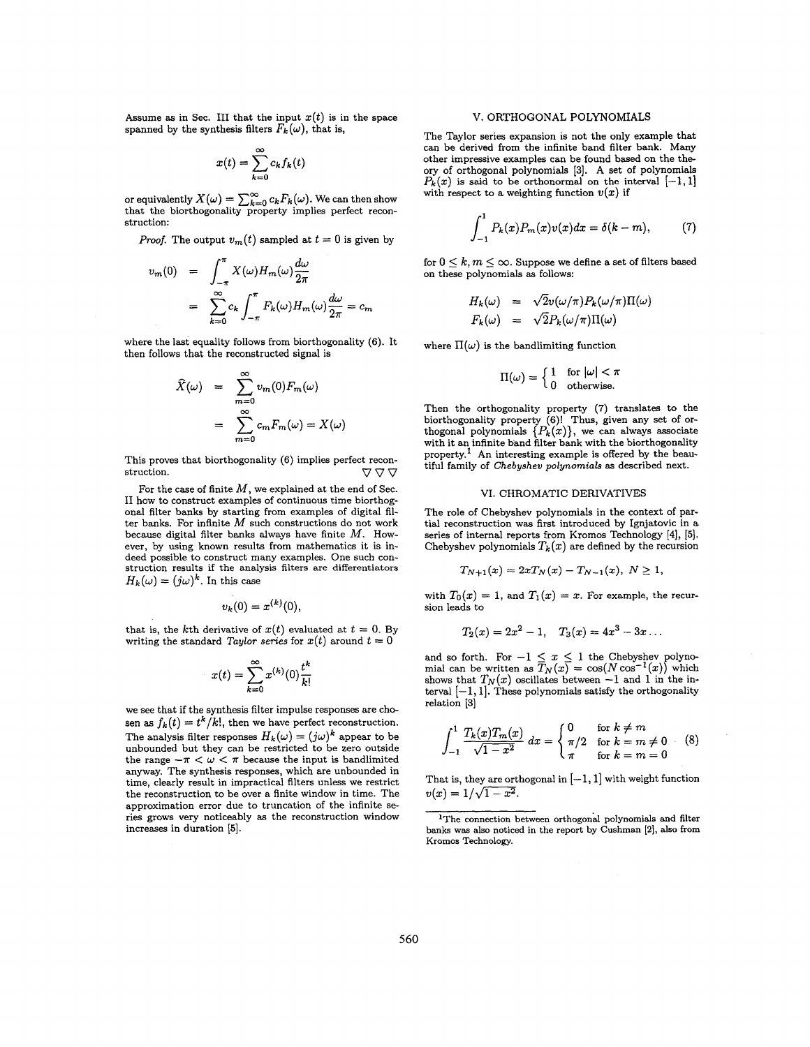Assume as in Sec. III that the input  $x(t)$  is in the space spanned by the synthesis filters  $F_k(\omega)$ , that is,

$$
x(t) = \sum_{k=0}^{\infty} c_k f_k(t)
$$

or equivalently  $X(\omega) = \sum_{k=0}^{\infty} c_k F_k(\omega)$ . We can then show that the biorthogonality property implies perfect reconstruction:

*Proof.* The output  $v_m(t)$  sampled at  $t = 0$  is given by

$$
v_m(0) = \int_{-\pi}^{\pi} X(\omega) H_m(\omega) \frac{d\omega}{2\pi}
$$
  
= 
$$
\sum_{k=0}^{\infty} c_k \int_{-\pi}^{\pi} F_k(\omega) H_m(\omega) \frac{d\omega}{2\pi} = c_m
$$

where the last equality follows from biorthogonality (6). It then follows that the reconstructed signal is

$$
\widehat{X}(\omega) = \sum_{m=0}^{\infty} v_m(0) F_m(\omega)
$$

$$
= \sum_{m=0}^{\infty} c_m F_m(\omega) = X(\omega)
$$

This proves that biorthogonality (6) implies perfect reconstruction.  $\nabla \nabla \nabla$ 

For the case of finite *M,* we explained at the end of Sec. I1 how to construct examples of continuous time biorthogonal filter banks by starting from examples of digital filter banks. **For** infinite *M* such constructions do not work because digital filter banks always have finite *M.* However, by using known results from mathematics it is indeed possible to construct many examples. One such construction results if the analysis filters are differentiators  $H_k(\omega) = (j\omega)^k$ . In this case

$$
v_k(0)=x^{(k)}(0),
$$

that is, the kth derivative of  $x(t)$  evaluated at  $t = 0$ . By writing the standard *Taylor series* for  $x(t)$  around  $t = 0$ 

$$
x(t) = \sum_{k=0}^{\infty} x^{(k)}(0) \frac{t^k}{k!}
$$

we see that if the synthesis filter impulse responses are chosen as  $f_k(t) = t^k/k!$ , then we have perfect reconstruction. The analysis filter responses  $H_k(\omega) = (j\omega)^k$  appear to be unbounded but they can be restricted to be zero outside the range  $-\pi < \omega < \pi$  because the input is bandlimited anyway, The synthesis responses, which are unbounded in time, clearly result in impractical filters unless we restrict the reconstruction to be over a finite window in time. The approximation error due to truncation of the infinite series grows very noticeably **as** the reconstruction window increases in duration **[SI.** 

### V. ORTHOGONAL POLYNOMIALS

The Taylor series expansion is not the only example that can be derived from the infinite band filter bank. Many other impressive examples can be found based on the theory of orthogonal polynomials **[3].** A set of polynomials  $P_k(x)$  is said to be orthonormal on the interval  $[-1, 1]$ with respect to a weighting function  $v(x)$  if

$$
\int_{-1}^{1} P_k(x) P_m(x) v(x) dx = \delta(k - m), \tag{7}
$$

for  $0 \leq k, m \leq \infty$ . Suppose we define a set of filters based on these polynomials **as** follows:

$$
H_k(\omega) = \sqrt{2}v(\omega/\pi)P_k(\omega/\pi)\Pi(\omega)
$$
  

$$
F_k(\omega) = \sqrt{2}P_k(\omega/\pi)\Pi(\omega)
$$

where  $\Pi(\omega)$  is the bandlimiting function

$$
\Pi(\omega) = \begin{cases} 1 & \text{for } |\omega| < \pi \\ 0 & \text{otherwise.} \end{cases}
$$

Then the orthogonality property **(7)** translates to the biorthogonality property **(6)!** Thus, given any set of **or-**thogonal polynomials { *Pk* (z)}, we can always associate with it an infinite band filter bank with the biorthogonality property.' An interesting example is offered by the beautiful family of *Chebyshev polynomials* **as** described next.

### VI. CHROMATIC DERIVATIVES

The role of Chebyshev polynomials in the context of partial reconstruction was first introduced by Ignjatovic in a series of internal reports from Kromos Technology **[4], 151.**  Chebyshev polynomials  $T_k(x)$  are defined by the recursion

$$
T_{N+1}(x) = 2xT_N(x) - T_{N-1}(x), N \ge 1,
$$

with  $T_0(x) = 1$ , and  $T_1(x) = x$ . For example, the recursion leads to

$$
T_2(x) = 2x^2 - 1
$$
,  $T_3(x) = 4x^3 - 3x$ ...

and so forth. For  $-1 \leq x \leq 1$  the Chebyshev polynomial can be written as  $T_N(x) = \cos(N \cos^{-1}(x))$  which shows that  $T_N(x)$  oscillates between  $-1$  and 1 in the interval  $[-1, 1]$ . These polynomials satisfy the orthogonality relation **[3]** 

$$
\int_{-1}^{1} \frac{T_k(x) T_m(x)}{\sqrt{1 - x^2}} dx = \begin{cases} 0 & \text{for } k \neq m \\ \pi/2 & \text{for } k = m \neq 0 \\ \pi & \text{for } k = m = 0 \end{cases}
$$
 (8)

That is, they are orthogonal in  $[-1,1]$  with weight function  $v(x) = 1/\sqrt{1-x^2}$ .

<sup>&#</sup>x27;The connection between orthogonal polynomials and filter banks was also noticed in the report by Cushman **121, also from**  Kromos Technology.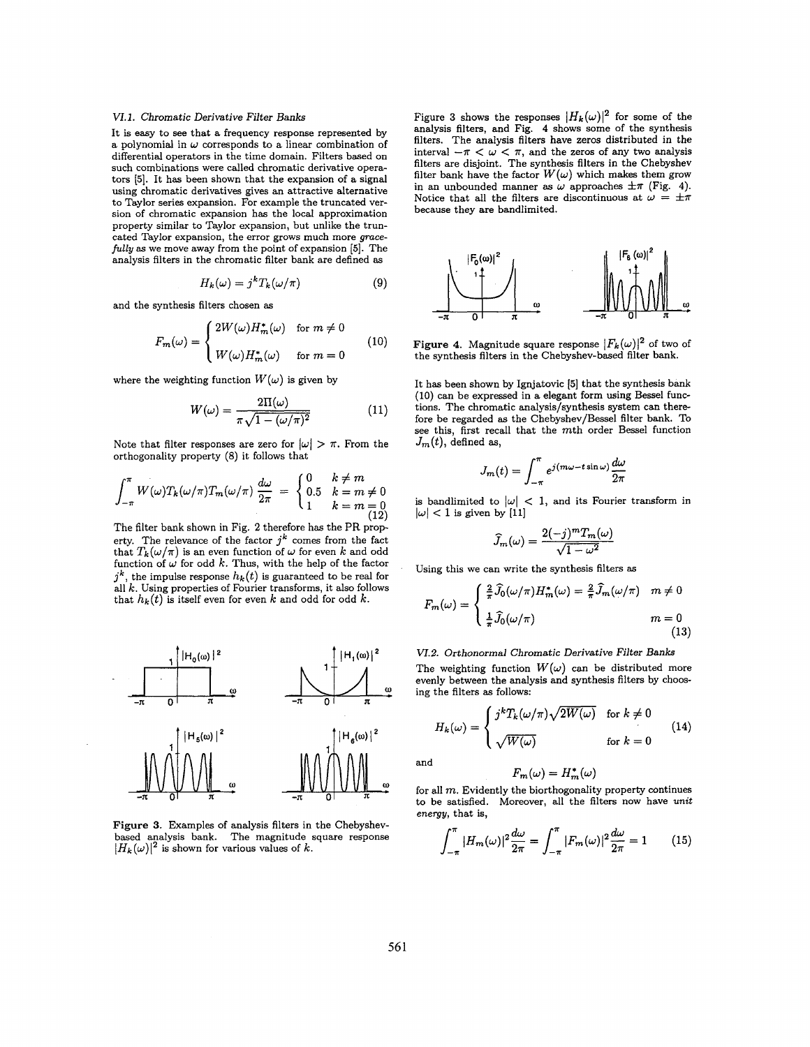#### *VI.1.* Chromatic Derivative Filter Banks

It is easy to see that a frequency response represented by a polynomial in  $\omega$  corresponds to a linear combination of differential operators in the time domain. Filters based on such combinations were called chromatic derivative operators (51. It has been shown that the expansion of a signal using chromatic derivatives gives an attractive alternative to Taylor series expansion. For example the truncated version of chromatic expansion has the local approximation property similar to Taylor expansion, but unlike the truncated Taylor expansion, the error grows much more gracefully **as** we move away from the point of expansion [5]. The analysis filters in the chromatic filter bank are defined **as** 

$$
H_k(\omega) = j^k T_k(\omega/\pi) \tag{9}
$$

and the synthesis filters chosen **as** 

$$
F_m(\omega) = \begin{cases} 2W(\omega)H_m^*(\omega) & \text{for } m \neq 0 \\ W(\omega)H_m^*(\omega) & \text{for } m = 0 \end{cases}
$$
 (10)

where the weighting function  $W(\omega)$  is given by

$$
W(\omega) = \frac{2\Pi(\omega)}{\pi\sqrt{1 - (\omega/\pi)^2}}\tag{11}
$$

Note that filter responses are zero for  $|\omega| > \pi$ . From the orthogonality property (8) it follows that

$$
\int_{-\pi}^{\pi} W(\omega) T_k(\omega/\pi) T_m(\omega/\pi) \frac{d\omega}{2\pi} = \begin{cases} 0 & k \neq m \\ 0.5 & k = m \neq 0 \\ 1 & k = m = 0 \end{cases}
$$

The filter bank shown in [Fig.](#page-1-0) **2** therefore has the PR prop erty. The relevance of the factor  $j^k$  comes from the fact that  $T_k(\omega/\pi)$  is an even function of  $\omega$  for even *k* and odd function of  $\omega$  for odd  $k$ . Thus, with the help of the factor  $j^k$ , the impulse response  $h_k(t)$  is guaranteed to be real for all *k.* Using properties of Fourier transforms, it also follows that  $h_k(t)$  is itself even for even k and odd for odd k.



**Figure 3.** Examples of analysis filters in the Chebyshev-based analysis bank. The magnitude square response  $|H_k(\omega)|^2$  is shown for various values of *k*.

Figure 3 shows the responses  $|H_k(\omega)|^2$  for some of the analysis filters, and Fig. **4** shows some of the synthesis filters. The analysis filters have zeros distributed in the interval  $-\pi < \omega < \pi$ , and the zeros of any two analysis filters are disjoint. The synthesis filters in the Chebyshev filter bank have the factor  $W(\omega)$  which makes them grow in an unbounded manner as  $\omega$  approaches  $\pm \pi$  (Fig. 4). Notice that all the filters are discontinuous at  $\omega = \pm \pi$ because they are bandlimited.



**Figure 4.** Magnitude square response  $|F_k(\omega)|^2$  of two of the synthesis filters in the Chebyshev-based filter bank.

It has been shown by Ignjatovic [5] that the synthesis bank (10) can be expressed in a elegant form using Bessel functions. The chromatic analysis/synthesis system can therefore be regarded **as** the Chebyshev/Bessel filter bank. To see this, first recall that the mth order Bessel function  $J_m(t)$ , defined as,

$$
J_m(t) = \int_{-\pi}^{\pi} e^{j(m\omega - t\sin \omega)} \frac{d\omega}{2\pi}
$$

is bandlimited to  $|\omega|$  < 1, and its Fourier transform in  $|\omega|$  < 1 is given by [11]

$$
\widehat{J}_m(\omega) = \frac{2(-j)^m T_m(\omega)}{\sqrt{1 - \omega^2}}
$$

Using this we can write the synthesis filters **as** 

$$
F_m(\omega) = \begin{cases} \frac{2}{\pi} \widehat{J}_0(\omega/\pi) H_m^*(\omega) = \frac{2}{\pi} \widehat{J}_m(\omega/\pi) & m \neq 0 \\ \frac{1}{\pi} \widehat{J}_0(\omega/\pi) & m = 0 \\ \end{cases}
$$
(13)

*VI.2.* Orthonormal Chromatic Derivative Filter Banks The weighting function  $W(\omega)$  can be distributed more evenly between the analysis and synthesis filters by choosing the filters **as** follows:

$$
H_k(\omega) = \begin{cases} j^k T_k(\omega/\pi) \sqrt{2W(\omega)} & \text{for } k \neq 0\\ \sqrt{W(\omega)} & \text{for } k = 0 \end{cases}
$$
(14)

and

$$
F_m(\omega) = H_m^*(\omega)
$$

for all *m.* Evidently the biorthogonality property continues to be satisfied. Moreover, all the filters now have unit energy, that is,

$$
\int_{-\pi}^{\pi} |H_m(\omega)|^2 \frac{d\omega}{2\pi} = \int_{-\pi}^{\pi} |F_m(\omega)|^2 \frac{d\omega}{2\pi} = 1 \qquad (15)
$$